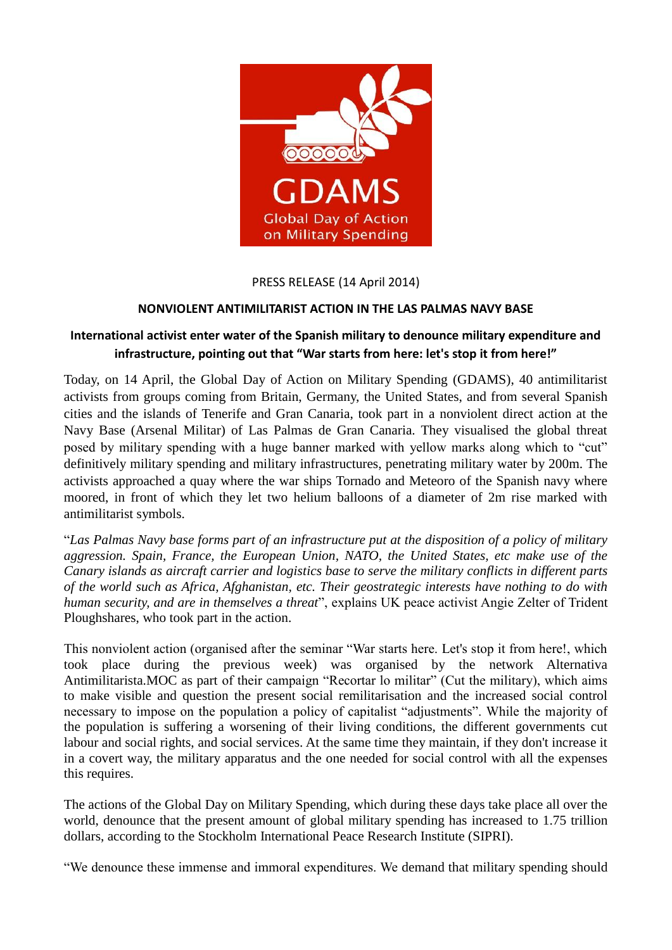

PRESS RELEASE (14 April 2014)

## **NONVIOLENT ANTIMILITARIST ACTION IN THE LAS PALMAS NAVY BASE**

## **International activist enter water of the Spanish military to denounce military expenditure and infrastructure, pointing out that "War starts from here: let's stop it from here!"**

Today, on 14 April, the Global Day of Action on Military Spending (GDAMS), 40 antimilitarist activists from groups coming from Britain, Germany, the United States, and from several Spanish cities and the islands of Tenerife and Gran Canaria, took part in a nonviolent direct action at the Navy Base (Arsenal Militar) of Las Palmas de Gran Canaria. They visualised the global threat posed by military spending with a huge banner marked with yellow marks along which to "cut" definitively military spending and military infrastructures, penetrating military water by 200m. The activists approached a quay where the war ships Tornado and Meteoro of the Spanish navy where moored, in front of which they let two helium balloons of a diameter of 2m rise marked with antimilitarist symbols.

"*Las Palmas Navy base forms part of an infrastructure put at the disposition of a policy of military aggression. Spain, France, the European Union, NATO, the United States, etc make use of the Canary islands as aircraft carrier and logistics base to serve the military conflicts in different parts of the world such as Africa, Afghanistan, etc. Their geostrategic interests have nothing to do with human security, and are in themselves a threat*", explains UK peace activist Angie Zelter of Trident Ploughshares, who took part in the action.

This nonviolent action (organised after the seminar "War starts here. Let's stop it from here!, which took place during the previous week) was organised by the network Alternativa Antimilitarista.MOC as part of their campaign "Recortar lo militar" (Cut the military), which aims to make visible and question the present social remilitarisation and the increased social control necessary to impose on the population a policy of capitalist "adjustments". While the majority of the population is suffering a worsening of their living conditions, the different governments cut labour and social rights, and social services. At the same time they maintain, if they don't increase it in a covert way, the military apparatus and the one needed for social control with all the expenses this requires.

The actions of the Global Day on Military Spending, which during these days take place all over the world, denounce that the present amount of global military spending has increased to 1.75 trillion dollars, according to the Stockholm International Peace Research Institute (SIPRI).

"We denounce these immense and immoral expenditures. We demand that military spending should